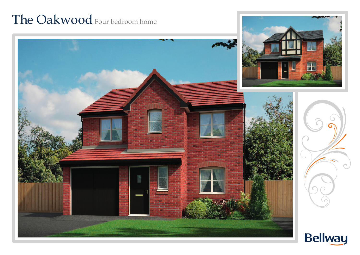## The Oakwood Four bedroom home